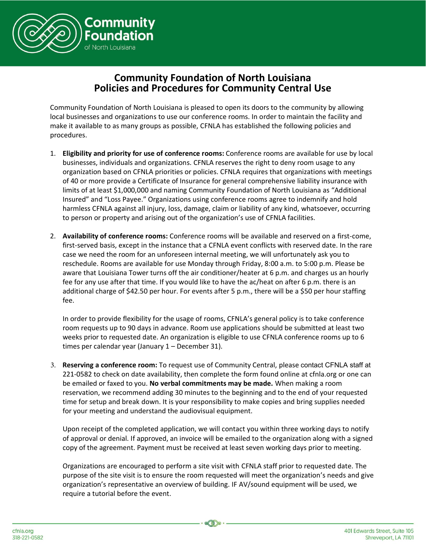

## **Community Foundation of North Louisiana Policies and Procedures for Community Central Use**

Community Foundation of North Louisiana is pleased to open its doors to the community by allowing local businesses and organizations to use our conference rooms. In order to maintain the facility and make it available to as many groups as possible, CFNLA has established the following policies and procedures.

- 1. **Eligibility and priority for use of conference rooms:** Conference rooms are available for use by local businesses, individuals and organizations. CFNLA reserves the right to deny room usage to any organization based on CFNLA priorities or policies. CFNLA requires that organizations with meetings of 40 or more provide a Certificate of Insurance for general comprehensive liability insurance with limits of at least \$1,000,000 and naming Community Foundation of North Louisiana as "Additional Insured" and "Loss Payee." Organizations using conference rooms agree to indemnify and hold harmless CFNLA against all injury, loss, damage, claim or liability of any kind, whatsoever, occurring to person or property and arising out of the organization's use of CFNLA facilities.
- 2. **Availability of conference rooms:** Conference rooms will be available and reserved on a first-come, first-served basis, except in the instance that a CFNLA event conflicts with reserved date. In the rare case we need the room for an unforeseen internal meeting, we will unfortunately ask you to reschedule. Rooms are available for use Monday through Friday, 8:00 a.m. to 5:00 p.m. Please be aware that Louisiana Tower turns off the air conditioner/heater at 6 p.m. and charges us an hourly fee for any use after that time. If you would like to have the ac/heat on after 6 p.m. there is an additional charge of \$42.50 per hour. For events after 5 p.m., there will be a \$50 per hour staffing fee.

In order to provide flexibility for the usage of rooms, CFNLA's general policy is to take conference room requests up to 90 days in advance. Room use applications should be submitted at least two weeks prior to requested date. An organization is eligible to use CFNLA conference rooms up to 6 times per calendar year (January 1 – December 31).

3. **Reserving a conference room:** To request use of Community Central, please contact CFNLA staff at 221-0582 to check on date availability, then complete the form found online at cfnla.org or one can be emailed or faxed to you. **No verbal commitments may be made.** When making a room reservation, we recommend adding 30 minutes to the beginning and to the end of your requested time for setup and break down. It is your responsibility to make copies and bring supplies needed for your meeting and understand the audiovisual equipment.

Upon receipt of the completed application, we will contact you within three working days to notify of approval or denial. If approved, an invoice will be emailed to the organization along with a signed copy of the agreement. Payment must be received at least seven working days prior to meeting.

Organizations are encouraged to perform a site visit with CFNLA staff prior to requested date. The purpose of the site visit is to ensure the room requested will meet the organization's needs and give organization's representative an overview of building. IF AV/sound equipment will be used, we require a tutorial before the event.

 $\otimes$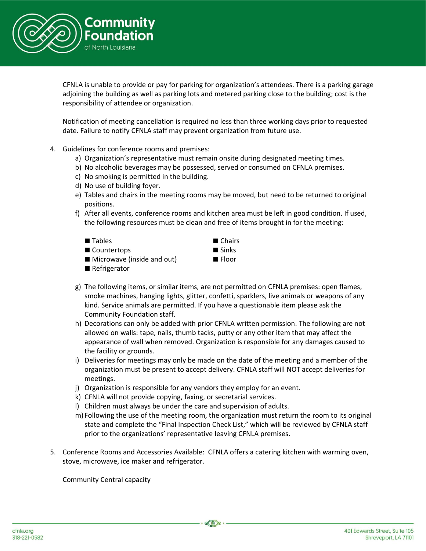

CFNLA is unable to provide or pay for parking for organization's attendees. There is a parking garage adjoining the building as well as parking lots and metered parking close to the building; cost is the responsibility of attendee or organization.

Notification of meeting cancellation is required no less than three working days prior to requested date. Failure to notify CFNLA staff may prevent organization from future use.

- 4. Guidelines for conference rooms and premises:
	- a) Organization's representative must remain onsite during designated meeting times.
	- b) No alcoholic beverages may be possessed, served or consumed on CFNLA premises.
	- c) No smoking is permitted in the building.
	- d) No use of building foyer.
	- e) Tables and chairs in the meeting rooms may be moved, but need to be returned to original positions.
	- f) After all events, conference rooms and kitchen area must be left in good condition. If used, the following resources must be clean and free of items brought in for the meeting:



- g) The following items, or similar items, are not permitted on CFNLA premises: open flames, smoke machines, hanging lights, glitter, confetti, sparklers, live animals or weapons of any kind. Service animals are permitted. If you have a questionable item please ask the Community Foundation staff.
- h) Decorations can only be added with prior CFNLA written permission. The following are not allowed on walls: tape, nails, thumb tacks, putty or any other item that may affect the appearance of wall when removed. Organization is responsible for any damages caused to the facility or grounds.
- i) Deliveries for meetings may only be made on the date of the meeting and a member of the organization must be present to accept delivery. CFNLA staff will NOT accept deliveries for meetings.
- j) Organization is responsible for any vendors they employ for an event.
- k) CFNLA will not provide copying, faxing, or secretarial services.
- l) Children must always be under the care and supervision of adults.
- m) Following the use of the meeting room, the organization must return the room to its original state and complete the "Final Inspection Check List," which will be reviewed by CFNLA staff prior to the organizations' representative leaving CFNLA premises.
- 5. Conference Rooms and Accessories Available: CFNLA offers a catering kitchen with warming oven, stove, microwave, ice maker and refrigerator.

 $\otimes$ 

Community Central capacity